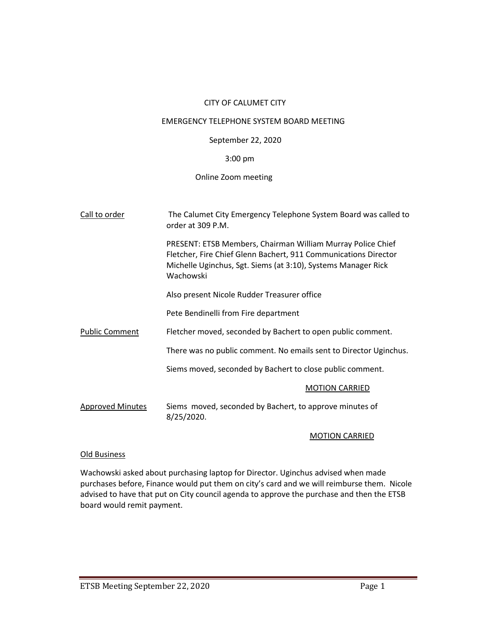# CITY OF CALUMET CITY

#### EMERGENCY TELEPHONE SYSTEM BOARD MEETING

## September 22, 2020

## 3:00 pm

# Online Zoom meeting

| Call to order           | The Calumet City Emergency Telephone System Board was called to<br>order at 309 P.M.                                                                                                                                |
|-------------------------|---------------------------------------------------------------------------------------------------------------------------------------------------------------------------------------------------------------------|
|                         | <b>PRESENT: ETSB Members, Chairman William Murray Police Chief</b><br>Fletcher, Fire Chief Glenn Bachert, 911 Communications Director<br>Michelle Uginchus, Sgt. Siems (at 3:10), Systems Manager Rick<br>Wachowski |
|                         | Also present Nicole Rudder Treasurer office                                                                                                                                                                         |
|                         | Pete Bendinelli from Fire department                                                                                                                                                                                |
| <b>Public Comment</b>   | Fletcher moved, seconded by Bachert to open public comment.                                                                                                                                                         |
|                         | There was no public comment. No emails sent to Director Uginchus.                                                                                                                                                   |
|                         | Siems moved, seconded by Bachert to close public comment.                                                                                                                                                           |
|                         | <b>MOTION CARRIED</b>                                                                                                                                                                                               |
| <b>Approved Minutes</b> | Siems moved, seconded by Bachert, to approve minutes of<br>8/25/2020.                                                                                                                                               |

## MOTION CARRIED

## Old Business

Wachowski asked about purchasing laptop for Director. Uginchus advised when made purchases before, Finance would put them on city's card and we will reimburse them. Nicole advised to have that put on City council agenda to approve the purchase and then the ETSB board would remit payment.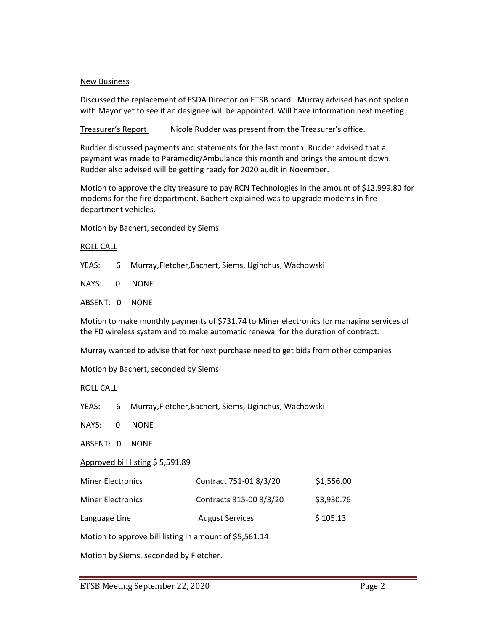#### New Business

Discussed the replacement of ESDA Director on ETSB board. Murray advised has not spoken with Mayor yet to see if an designee will be appointed. Will have information next meeting.

Treasurer's Report Nicole Rudder was present from the Treasurer's office.

Rudder discussed payments and statements for the last month. Rudder advised that a payment was made to Paramedic/Ambulance this month and brings the amount down. Rudder also advised will be getting ready for 2020 audit in November.

Motion to approve the city treasure to pay RCN Technologies in the amount of \$12.999.80 for modems for the fire department. Bachert explained was to upgrade modems in fire department vehicles.

Motion by Bachert, seconded by Siems

#### ROLL CALL

YEAS: 6 Murray,Fletcher,Bachert, Siems, Uginchus, Wachowski

NAYS: 0 NONE

ABSENT: 0 NONE

Motion to make monthly payments of \$731.74 to Miner electronics for managing services of the FD wireless system and to make automatic renewal for the duration of contract.

Murray wanted to advise that for next purchase need to get bids from other companies

Motion by Bachert, seconded by Siems

ROLL CALL

YEAS: 6 Murray,Fletcher,Bachert, Siems, Uginchus, Wachowski

NAYS: 0 NONE

ABSENT: 0 NONE

Approved bill listing \$ 5,591.89

| <b>Miner Electronics</b> | Contract 751-01 8/3/20  | \$1,556.00 |
|--------------------------|-------------------------|------------|
| <b>Miner Electronics</b> | Contracts 815-00 8/3/20 | \$3,930.76 |
| Language Line            | <b>August Services</b>  | \$105.13   |

Motion to approve bill listing in amount of \$5,561.14

Motion by Siems, seconded by Fletcher.